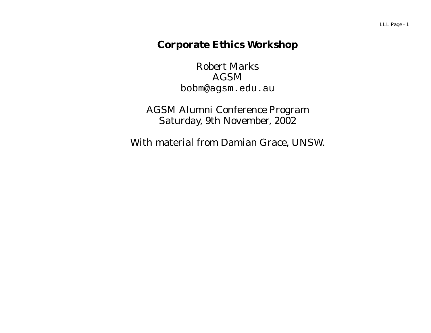### **Corporate Ethics Workshop**

Robert Marks AGSM bobm@agsm.edu.au

AGSM Alumni Conference Program Saturday, 9th November, 2002

With material from Damian Grace, UNSW.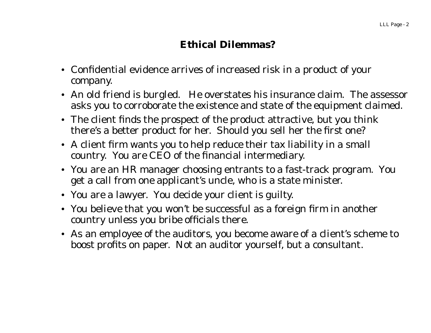# **Ethical Dilemmas?**

- Confidential evidence arrives of increased risk in a product of your company.
- An old friend is burgled. He overstates his insurance claim. The assessor asks you to corroborate the existence and state of the equipment claimed.
- The client finds the prospect of the product attractive, but you think there's <sup>a</sup> better product for her. Should you sell her the first one?
- A client firm wants you to help reduce their tax liability in a small country. You are CEO of the financial intermediary.
- You are an HR manager choosing entrants to a fast-track program. You get a call from one applicant's uncle, who is a state minister.
- You are a lawyer. You decide your client is guilty.
- You believe that you won't be successful as a foreign firm in another country unless you bribe officials there.
- As an employee of the auditors, you become aware of a client's scheme to boost profits on paper. Not an auditor yourself, but a consultant.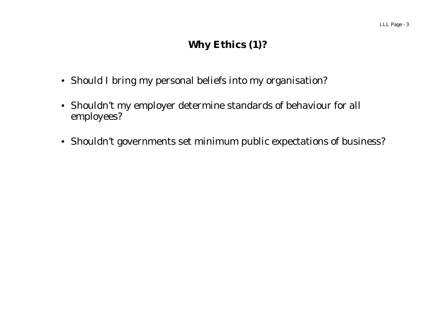# **Why Ethics (1)?**

- Should I bring my personal beliefs into my organisation?
- Shouldn't my employer determine standards of behaviour for all employees?
- Shouldn't governments set minimum public expectations of business?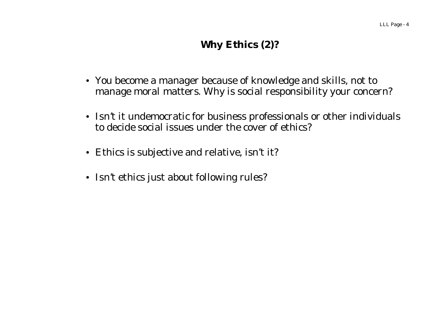# **Why Ethics (2)?**

- You become a manager because of knowledge and skills, not to manage moral matters. Why is social responsibility your concern?
- Isn't it undemocratic for business professionals or other individuals to decide social issues under the cover of ethics?
- Ethics is subjective and relative, isn't it?
- Isn't ethics just about following rules?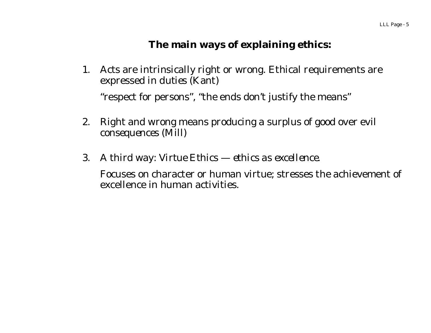### **The main ways of explaining ethics:**

- 1. Acts are intrinsically right or wrong. Ethical requirements are expressed in *duties* (Kant) "respect for persons", "the ends don't justify the means"
- 2. Right and wrong means producing a surplus of good over evil *consequences* (Mill)
- 3. A third way: *Virtue Ethics ethics as excellence.*

Focuses on character or human virtue; stresses the achievement of excellence in human activities.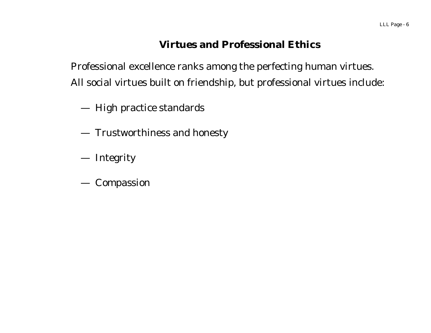### **Virtues and Professional Ethics**

Professional excellence ranks among the perfecting human virtues. All social virtues built on friendship, but professional virtues include:

—High practice standards

- —Trustworthiness and honesty
- Integrity
- Compassion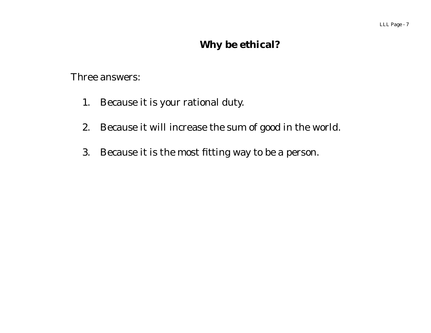# **Why be ethical?**

Three answers:

- 1. Because it is your rational duty.
- 2. Because it will increase the sum of good in the world.
- 3. Because it is the most fitting way to be <sup>a</sup> person.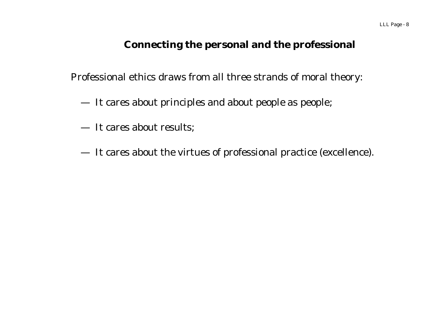#### **Connecting the personal and the professional**

Professional ethics draws from all three strands of moral theory:

- —It cares about principles and about people as people;
- It cares about results;
- —It cares about the virtues of professional practice (excellence).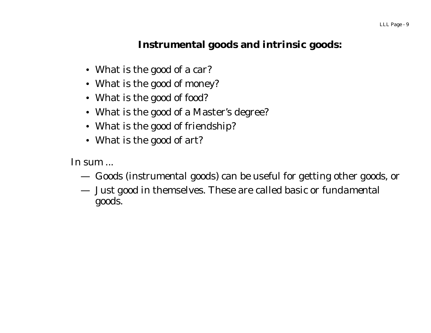### **Instrumental goods and intrinsic goods:**

- What is the good of a car?
- What is the good of money?
- What is the good of food?
- What is the good of a Master's degree?
- What is the good of friendship?
- What is the good of art?

In sum ...

- —Goods (*instrumental* goods) can be useful for getting other goods, or
- — Just good in themselves. These are called basic or *fundamental* goods.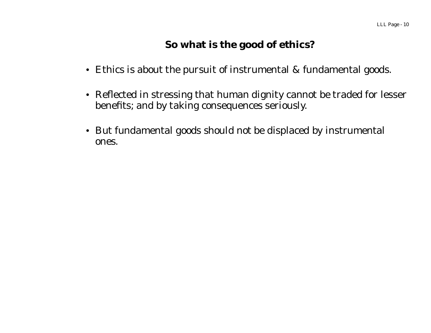### **So what is the good of ethics?**

- Ethics is about the pursuit of instrumental & fundamental goods.
- Reflected in stressing that human dignity cannot be traded for lesser benefits; and by taking consequences seriously.
- But fundamental goods should not be displaced by instrumental ones.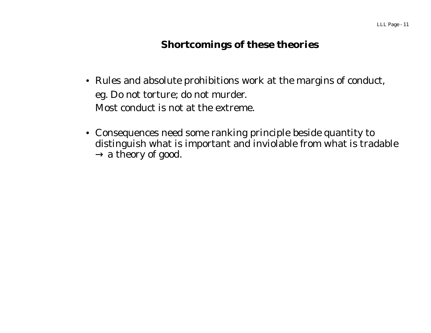### **Shortcomings of these theories**

- Rules and absolute prohibitions work at the margins of conduct, eg. Do not torture; do not murder. Most conduct is not at the extreme.
- Consequences need some ranking principle beside quantity to distinguish what is important and inviolable from what is tradable  $\rightarrow$  a theory of good.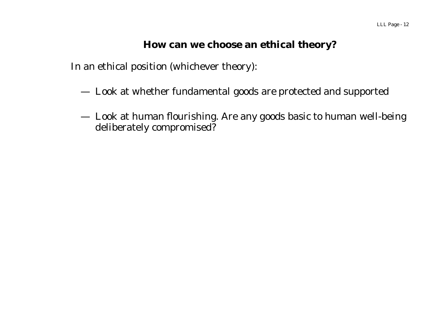#### **How can we choose an ethical theory?**

In an ethical position (whichever theory):

- —Look at whether fundamental goods are protected and supported
- — Look at human flourishing. Are any goods basic to human well-being deliberately compromised?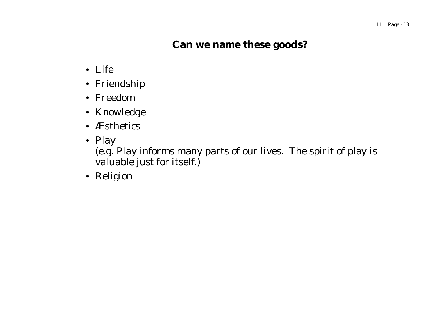### **Can we name these goods?**

- Life
- Friendship
- Freedom
- Knowledge
- Æsthetics
- Play

(e.g. Play informs many parts of our lives. The spirit of play is valuable just for itself.)

• Religion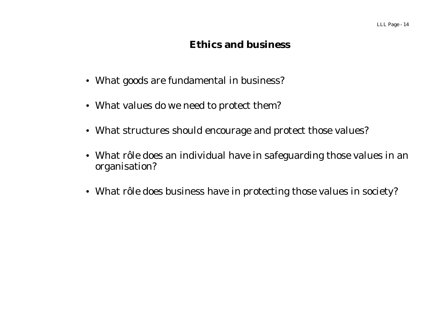### **Ethics and business**

- What goods are fundamental in business?
- What values do we need to protect them?
- What structures should encourage and protect those values?
- What rôle does an individual have in safeguarding those values in an organisation?
- What rôle does business have in protecting those values in society?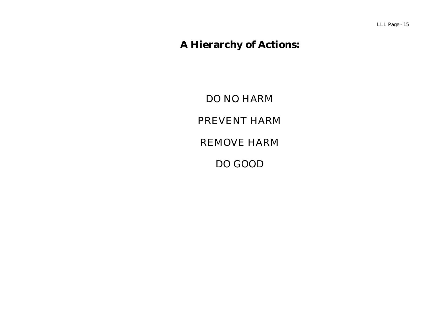# **A Hierarchy of Actions:**

DO NO HARM PREVENT HARM REMOVE HARM DO GOOD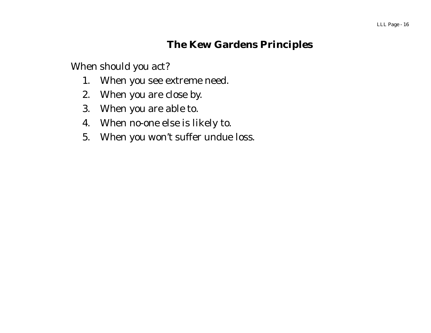### **The Kew Gardens Principles**

When should you act?

- 1. When you see extreme need.
- 2. When you are close by.
- 3. When you are able to.
- 4. When no-one else is likely to.
- 5. When you won't suffer undue loss.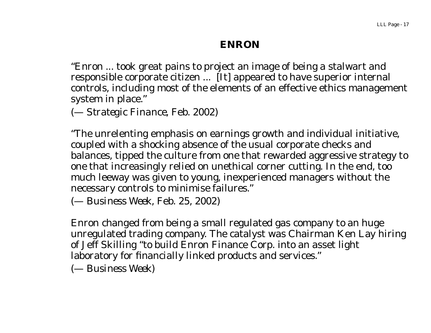#### **ENRON**

"Enron ... took great pains to project an image of being a stalwart and responsible corporate citizen ... [It] appeared to have superior internal controls, including most of the elements of an effective ethics management system in place."

(— *Strategic Finance*, Feb. 2002)

"The unrelenting emphasis on earnings growth and individual initiative, coupled with a shocking absence of the usual corporate checks and balances, tipped the culture from one that rewarded aggressive strategy to one that increasingly relied on unethical corner cutting. In the end, too much leeway was given to young, inexperienced managers without the necessary controls to minimise failures."

(— *Business Week*, Feb. 25, 2002)

Enron changed from being a small regulated gas company to an huge unregulated trading company. The catalyst was Chairman Ken Lay hiring of Jeff Skilling "to build Enron Finance Corp. into an asset light laboratory for financially linked products and services."

(— *Business Week*)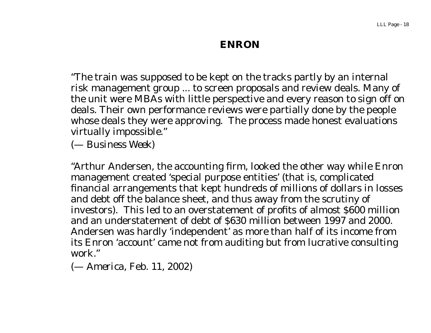#### **ENRON**

"The train was supposed to be kept on the tracks partly by an internal risk management group ... to screen proposals and review deals. Many of the unit were MBAs with little perspective and every reason to sign off on deals. Their own performance reviews were partially done by the people whose deals they were approving. The process made honest evaluations virtually impossible."

(— *Business Week*)

"Arthur Andersen, the accounting firm, looked the other way while Enron management created 'special purpose entities' (that is, complicated financial arrangements that kept hundreds of millions of dollars in losses and debt off the balance sheet, and thus away from the scrutiny of investors). This led to an overstatement of profits of almost \$600 million and an understatement of debt of \$630 million between 1997 and 2000. Andersen was hardly 'independent' as more than half of its income from its Enron 'account' came not from auditing but from lucrative consulting work."

(— *America*, Feb. 11, 2002)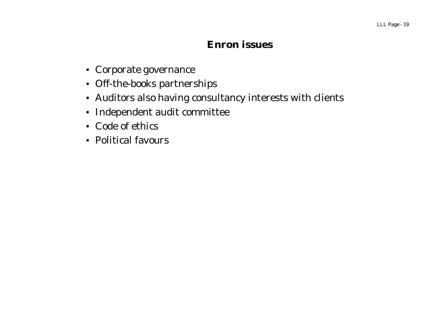#### **Enron issues**

- Corporate governance
- Off-the-books partnerships
- Auditors also having consultancy interests with clients
- Independent audit committee
- Code of ethics
- Political favours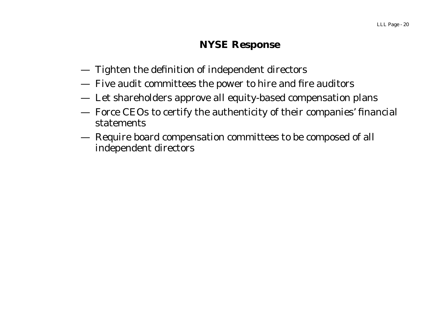#### **NYSE Response**

- —Tighten the definition of independent directors
- —Five audit committees the power to hire and fire auditors
- —Let shareholders approve all equity-based compensation plans
- — Force CEOs to certify the authenticity of their companies' financial statements
- — Require board compensation committees to be composed of all independent directors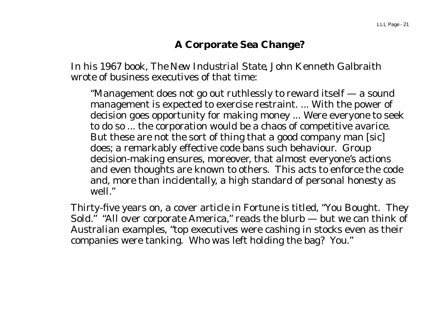# **A Corporate Sea Change?**

In his 1967 book, *The New Industrial State,* John Kenneth Galbraith wrote of business executives of that time:

"Management does not go out ruthlessly to reward itself — a sound management is expected to exercise restraint. ... With the power of decision goes opportunity for making money ... Were everyone to seek to do so ... the corporation would be a chaos of competitive avarice. But these are not the sort of thing that a good company man [sic] does; a remarkably effective code bans such behaviour. Group decision-making ensures, moreover, that almost everyone's actions and even thoughts are known to others. This acts to enforce the code and, more than incidentally, <sup>a</sup> high standard of personal honesty as well."

Thirty-five years on, a cover article in *Fortune* is titled, "You Bought. They Sold." "All over corporate America," reads the blurb — but we can think of Australian examples, "top executives were cashing in stocks even as their companies were tanking. Who was left holding the bag? You."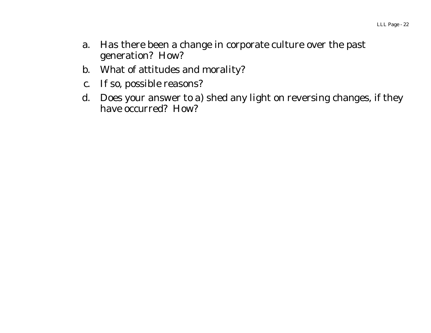- a. Has there been a change in corporate culture over the past generation? How?
- b. What of attitudes and morality?
- c. If so, possible reasons?
- d. Does your answer to a) shed any light on reversing changes, if they have occurred? How?